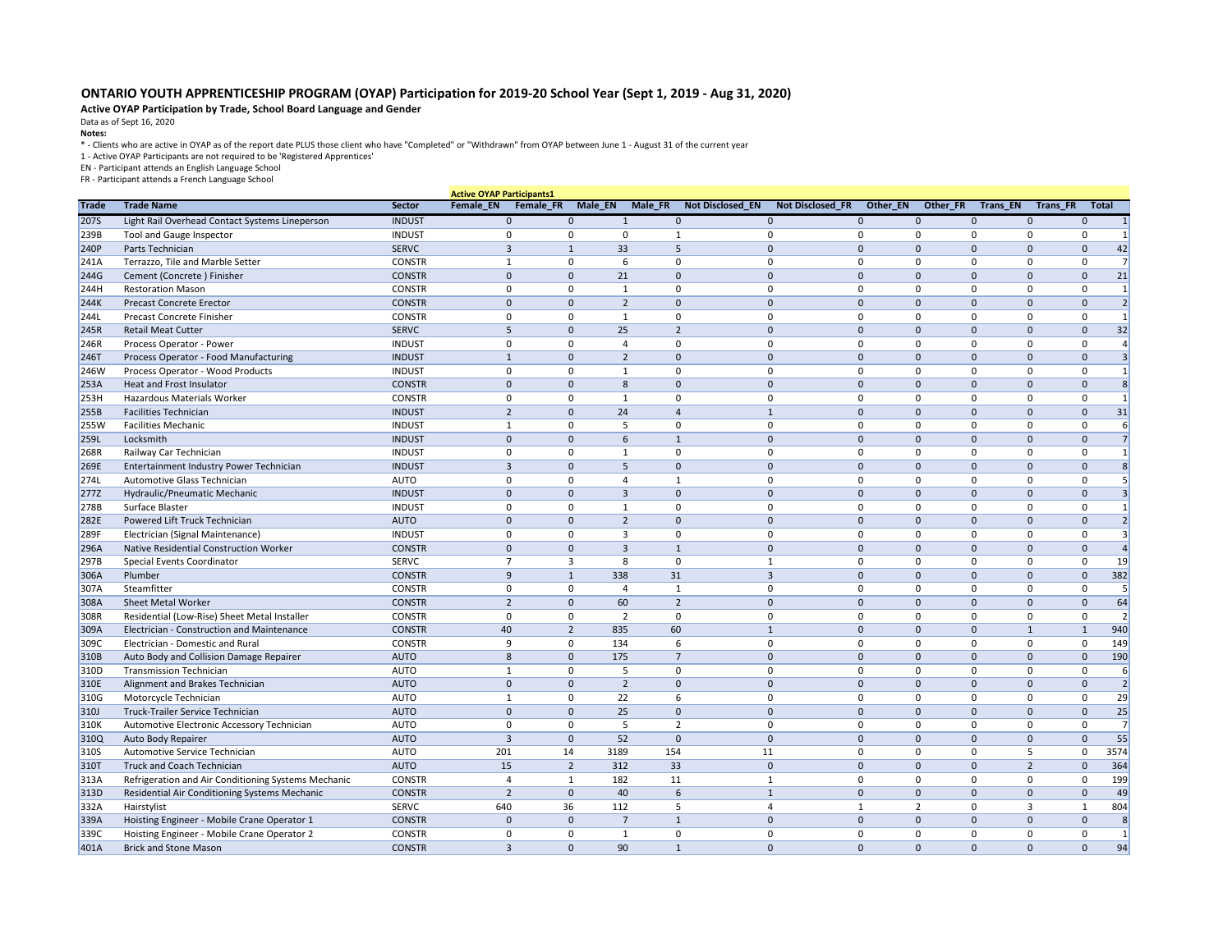## **ONTARIO YOUTH APPRENTICESHIP PROGRAM (OYAP) Participation for 2019-20 School Year (Sept 1, 2019 - Aug 31, 2020)**

## **Active OYAP Participation by Trade, School Board Language and Gender**

Data as of Sept 16, 2020

**Notes:** 

\* - Clients who are active in OYAP as of the report date PLUS those client who have "Completed" or "Withdrawn" from OYAP between June 1 - August 31 of the current year

1 - Active OYAP Participants are not required to be 'Registered Apprentices'

EN - Participant attends an English Language School

FR - Participant attends a French Language School

|              |                                                           |                            | <b>Active OYAP Participants1</b> |                |                |                         |                         |                |              |                 |                 |                |                |
|--------------|-----------------------------------------------------------|----------------------------|----------------------------------|----------------|----------------|-------------------------|-------------------------|----------------|--------------|-----------------|-----------------|----------------|----------------|
| <b>Trade</b> | <b>Trade Name</b>                                         | Sector                     | Female_EN<br>Female_FR           | Male_EN        | Male_FR        | <b>Not Disclosed_EN</b> | <b>Not Disclosed FR</b> | Other_EN       | Other_FR     | <b>Trans_EN</b> | <b>Trans_FR</b> | <b>Total</b>   |                |
| 2075         | Light Rail Overhead Contact Systems Lineperson            | <b>INDUST</b>              | $\Omega$                         | $\Omega$       |                | $\Omega$                | $\mathbf{0}$            |                | $\Omega$     | $\Omega$        | 0               | $\Omega$       |                |
| 239B         | <b>Tool and Gauge Inspector</b>                           | <b>INDUST</b>              | $\Omega$                         |                | ŋ              |                         | $\Omega$                | ∩              | <sup>0</sup> | $\Omega$        | <sup>0</sup>    | $\Omega$       | 1              |
| 240P         | Parts Technician                                          | <b>SERVC</b>               | -3                               |                | 33             | 5                       | $\mathbf 0$             |                | $\Omega$     | $\Omega$        |                 |                | 42             |
| 241A         | Terrazzo, Tile and Marble Setter                          | <b>CONSTR</b>              |                                  |                | 6              | $\Omega$                | $\mathbf{0}$            | $\Omega$       | $\Omega$     | $\Omega$        | $\Omega$        |                | $\overline{7}$ |
| <b>244G</b>  | Cement (Concrete) Finisher                                | <b>CONSTR</b>              | $\overline{0}$                   | $\mathbf{0}$   | 21             | $\Omega$                | $\mathbf 0$             | $\overline{0}$ | $\Omega$     | $\mathbf 0$     | $\Omega$        | $\Omega$       | 21             |
| 244H         | <b>Restoration Mason</b>                                  | <b>CONSTR</b>              | $\Omega$                         | $\Omega$       |                | 0                       | $\mathbf{0}$            | $\Omega$       | $\Omega$     | $\Omega$        | $\Omega$        | 0              | $\mathbf{1}$   |
| 244K         | <b>Precast Concrete Erector</b>                           | <b>CONSTR</b>              | $\mathbf{0}$                     | $\Omega$       | $\overline{2}$ | $\Omega$                | $\mathbf 0$             | $\Omega$       | $\Omega$     | $\mathbf{0}$    | $\Omega$        | $\Omega$       | $\overline{2}$ |
| <b>244L</b>  | <b>Precast Concrete Finisher</b>                          | <b>CONSTR</b>              | $\Omega$                         | $\Omega$       |                | $\mathbf{0}$            | 0                       | $\mathbf 0$    | $\mathbf 0$  | $\Omega$        | 0               | 0              | $\mathbf{1}$   |
| 245R         | <b>Retail Meat Cutter</b>                                 | <b>SERVC</b>               |                                  | $\Omega$       | 25             | $\overline{2}$          | $\mathbf 0$             | $\Omega$       | $\mathbf{0}$ | $\mathbf{0}$    | $\Omega$        | $\Omega$       | 32             |
| 246R         | Process Operator - Power                                  | <b>INDUST</b>              | $\Omega$                         |                |                | $\Omega$                | $\mathbf 0$             | $\Omega$       | $\Omega$     | $\Omega$        | $\Omega$        |                |                |
| 2461         | Process Operator - Food Manufacturing                     | <b>INDUST</b>              |                                  | $\Omega$       | $\overline{2}$ | $\mathbf 0$             | $\mathbf 0$             | $\Omega$       | $\Omega$     | $\mathbf{0}$    | $\Omega$        | $\mathbf 0$    |                |
| 246W         | Process Operator - Wood Products                          | <b>INDUST</b>              | $\Omega$                         |                |                | $\Omega$                | 0                       | $\Omega$       | $\Omega$     | $\Omega$        | $\Omega$        | $\Omega$       | 1              |
| 253A         | Heat and Frost Insulator                                  | <b>CONSTR</b>              | $\overline{0}$                   | $\Omega$       | 8              | $\mathbf 0$             | $\mathbf 0$             |                | $\Omega$     | $\Omega$        | $\Omega$        |                | 8              |
| 253H         | Hazardous Materials Worker                                | <b>CONSTR</b>              |                                  | ∩              |                | 0                       | $\Omega$                |                | $\Omega$     | $\Omega$        |                 |                | 1              |
| 255B         | <b>Facilities Technician</b>                              | <b>INDUST</b>              | $\overline{2}$                   | $\Omega$       | 24             |                         | $\mathbf{1}$            | $\overline{0}$ | $\Omega$     | $\mathbf 0$     | $\Omega$        | $\Omega$       | 31             |
| 255W         | <b>Facilities Mechanic</b>                                | <b>INDUST</b>              |                                  |                |                | 0                       | $\mathbf{0}$            | $\Omega$       | $\Omega$     | $\Omega$        | $\Omega$        | 0              | 6              |
| <b>259L</b>  | Locksmith                                                 | <b>INDUST</b>              | $\Omega$                         | $\Omega$       | 6              |                         | $\mathbf 0$             | $\Omega$       | $\Omega$     | $\mathbf{0}$    | $\Omega$        |                | $\overline{7}$ |
| 268R         | Railway Car Technician                                    | <b>INDUST</b>              | $\Omega$                         |                |                | $\mathbf{0}$            | 0                       |                | $\Omega$     | $\Omega$        |                 |                |                |
| 269E         | Entertainment Industry Power Technician                   | <b>INDUST</b>              | 3                                | $\Omega$       | 5.             | $\Omega$                | $\mathbf 0$             | $\Omega$       | $\Omega$     | $\mathbf{0}$    | $\Omega$        | $\Omega$       | 8              |
| 274L         | Automotive Glass Technician                               | <b>AUTO</b>                | $\Omega$                         |                |                | -1                      | 0                       | $\Omega$       | $\Omega$     | $\mathbf{0}$    | $\Omega$        | $\Omega$       |                |
| <b>277Z</b>  | Hydraulic/Pneumatic Mechanic                              | <b>INDUST</b>              | $\overline{0}$                   | $\Omega$       | 3              | $\Omega$                | $\mathbf 0$             |                | $\Omega$     | $\Omega$        | 0               | 0              |                |
| 278B         | Surface Blaster                                           | <b>INDUST</b>              | $\mathbf{0}$                     | ∩              |                | $\mathbf{0}$            | 0                       | 0              | $\Omega$     | $\mathbf{0}$    | 0               | $\Omega$       |                |
| 282E         | Powered Lift Truck Technician                             | <b>AUTO</b>                | $\overline{0}$                   | $\Omega$       | 2              | $\mathbf 0$             | $\mathbf 0$             |                | $\Omega$     | $\Omega$        | 0               |                |                |
| 289F         | Electrician (Signal Maintenance)                          | <b>INDUST</b>              | $\Omega$                         |                |                | $\Omega$                | $\mathbf{0}$            |                | $\Omega$     | $\Omega$        | <sup>0</sup>    | $\Omega$       |                |
| 296A         | Native Residential Construction Worker                    | <b>CONSTR</b>              | $\overline{0}$                   | $\Omega$       | 3              | $\mathbf{1}$            | $\mathbf 0$             | $\overline{0}$ | $\mathbf 0$  | $\mathbf 0$     | $\Omega$        | $\Omega$       |                |
| 297B         | Special Events Coordinator                                | <b>SERVC</b>               |                                  | 3              | 8              | 0                       |                         | $\Omega$       | $\Omega$     | $\mathbf{0}$    | 0               | 0              | 19             |
| 306A         | Plumber                                                   | <b>CONSTR</b>              | 9                                | $\mathbf{1}$   | 338            | 31                      | 3                       | $\overline{0}$ | $\Omega$     | $\mathbf{0}$    | $\Omega$        | $\Omega$       | 382            |
| 307A         | Steamfitter                                               | <b>CONSTR</b>              |                                  |                |                |                         | 0                       |                |              |                 |                 |                |                |
| 308A         | Sheet Metal Worker                                        | <b>CONSTR</b>              | $\overline{2}$                   | $\mathbf{0}$   | 60             | $\overline{2}$          | $\mathbf 0$             | $\sqrt{ }$     | $\Omega$     | $\mathbf 0$     | $\Omega$        | $\Omega$       | 64             |
| 308R         | Residential (Low-Rise) Sheet Metal Installer              | <b>CONSTR</b>              | $\cap$                           | 0              | $\mathcal{L}$  | 0                       | 0                       | $\Omega$       | 0            | 0               | 0               | $\mathbf{0}$   | $\mathcal{D}$  |
| 309A         | Electrician - Construction and Maintenance                | <b>CONSTR</b>              | 40                               | $\overline{2}$ | 835            | 60                      | $\mathbf{1}$            | $\overline{0}$ | $\Omega$     | $\mathbf 0$     |                 |                | 940            |
| 309C         | Electrician - Domestic and Rural                          | <b>CONSTR</b>              | -9                               | $\Omega$       | 134            | 6                       | 0                       | 0              | 0            | 0               | 0               | 0              | 149            |
| 310B         | Auto Body and Collision Damage Repairer                   | <b>AUTO</b>                |                                  | $\mathbf 0$    | 175            | $\overline{7}$          | $\mathbf 0$             | $\overline{0}$ | $\Omega$     | $\mathbf 0$     | 0               | $\overline{0}$ | 190            |
| 310D         | <b>Transmission Technician</b>                            | <b>AUTO</b>                |                                  |                |                | 0                       | 0                       |                | $\Omega$     | 0               | 0               | 0              |                |
|              | Alignment and Brakes Technician                           | <b>AUTO</b>                | $\mathbf{0}$                     | $\mathbf 0$    | $\overline{2}$ | $\mathbf{0}$            | $\mathbf 0$             | $\mathbf 0$    | $\mathbf 0$  | $\mathbf 0$     | $\mathbf{0}$    | $\mathbf{0}$   | $\overline{2}$ |
| 310E         |                                                           |                            |                                  |                |                |                         |                         | 0              | 0            | 0               | 0               |                |                |
| 310G<br>310J | Motorcycle Technician<br>Truck-Trailer Service Technician | <b>AUTO</b><br><b>AUTO</b> | $\Omega$                         | $\Omega$       | 22<br>25       | 6<br>$\mathbf 0$        | 0<br>$\mathbf{0}$       | 0              |              |                 |                 | 0              | 29<br>25       |
|              |                                                           |                            | $\Omega$                         |                |                | $\overline{2}$          | $\mathbf 0$             |                | $\mathbf 0$  | $\mathbf 0$     | $\mathbf 0$     | $\mathbf 0$    | $\overline{7}$ |
| 310K         | Automotive Electronic Accessory Technician                | <b>AUTO</b>                |                                  |                |                |                         |                         | 0              | 0            | 0               | 0               | 0              |                |
| 310Q         | Auto Body Repairer                                        | <b>AUTO</b>                |                                  | $\mathbf{0}$   | 52             | $\mathbf{0}$            | $\mathbf 0$             | $\Omega$       | $\Omega$     | $\mathbf 0$     | $\mathbf 0$     | $\mathbf 0$    | 55             |
| 310S         | Automotive Service Technician                             | <b>AUTO</b>                | 201                              | 14<br>3189     |                | 154                     | 11                      | 0              | $\Omega$     | $\mathbf{0}$    |                 | $\Omega$       | 3574           |
| 310T         | <b>Truck and Coach Technician</b>                         | <b>AUTO</b>                | 15                               | $\overline{2}$ | 312            | 33                      | $\mathbf 0$             |                | $\mathbf 0$  | $\mathbf 0$     | 2               | $\Omega$       | 364            |
| 313A         | Refrigeration and Air Conditioning Systems Mechanic       | <b>CONSTR</b>              |                                  |                | 182            | 11                      | 1                       | $\Omega$       | 0            | 0               | 0               | $\Omega$       | 199            |
| 313D         | Residential Air Conditioning Systems Mechanic             | <b>CONSTR</b>              | $\overline{z}$                   | $\mathbf 0$    | 40             | 6                       | $\mathbf{1}$            | $\overline{0}$ | $\mathbf 0$  | $\mathbf 0$     | $\mathbf 0$     | $\mathbf 0$    | 49             |
| 332A         | Hairstylist                                               | <b>SERVC</b>               | 640                              | 36             | 112            | 5                       |                         |                |              | $\mathbf{0}$    | 3               |                | 804            |
| 339A         | Hoisting Engineer - Mobile Crane Operator 1               | <b>CONSTR</b>              | $\overline{0}$                   | $\mathbf{0}$   | $\overline{7}$ | $\mathbf{1}$            | $\mathbf 0$             | $\mathbf{0}$   | $\mathbf 0$  | $\mathbf 0$     | $\mathbf{0}$    | $\mathbf 0$    | 8              |
| 339C         | Hoisting Engineer - Mobile Crane Operator 2               | <b>CONSTR</b>              | $\mathbf 0$                      |                |                | 0                       | 0                       | 0              | 0            | 0               | 0               | 0              |                |
| 401A         | <b>Brick and Stone Mason</b>                              | <b>CONSTR</b>              | 3                                | $\mathbf{0}$   | 90             | $\mathbf{1}$            | $\overline{0}$          | $\overline{0}$ | $\mathbf{0}$ | $\overline{0}$  | $\mathbf{0}$    | $\mathbf 0$    | 94             |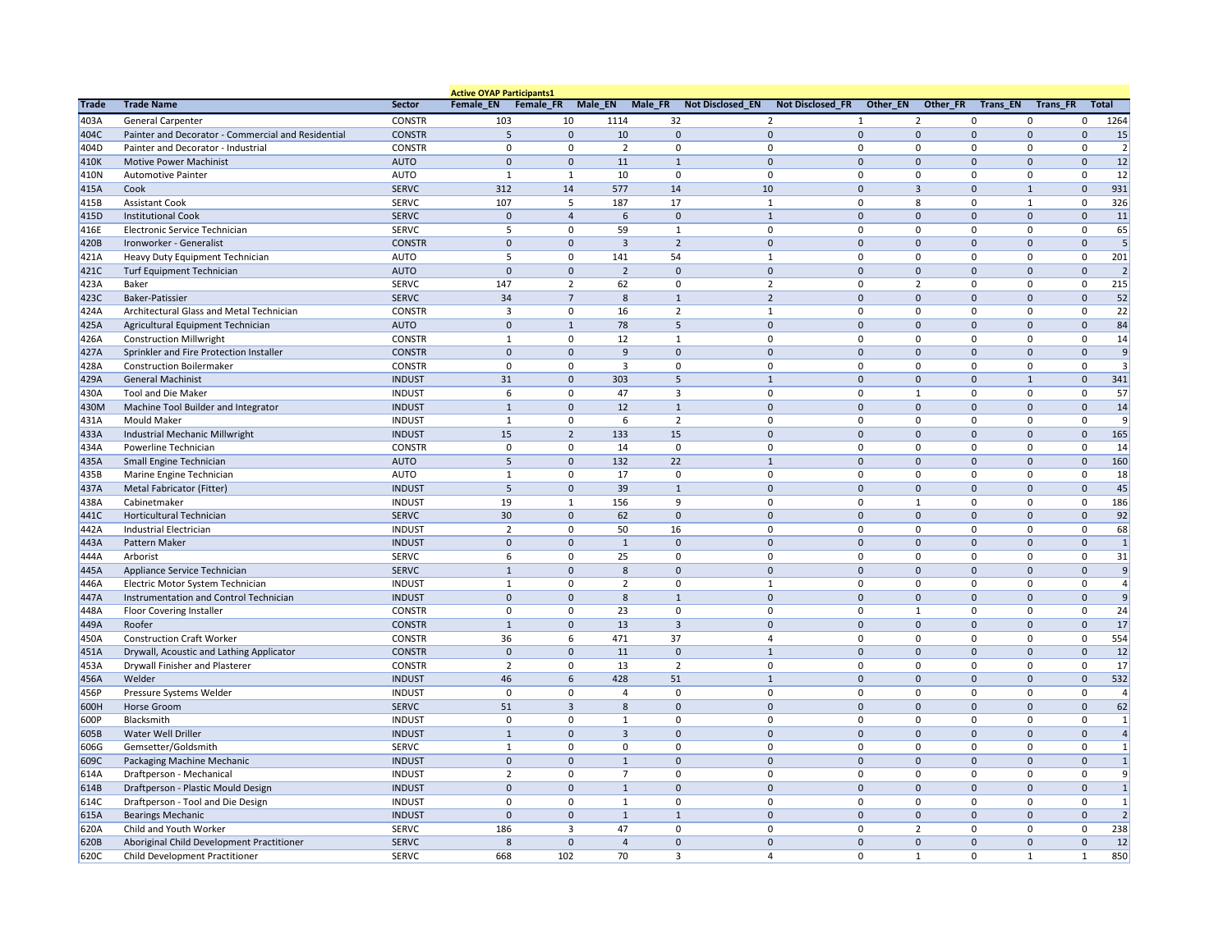|              |                                                    |               | <b>Active OYAP Participants1</b> |                |                |                |                                                    |                |                |                              |                 |                                  |
|--------------|----------------------------------------------------|---------------|----------------------------------|----------------|----------------|----------------|----------------------------------------------------|----------------|----------------|------------------------------|-----------------|----------------------------------|
| <b>Trade</b> | <b>Trade Name</b>                                  | Sector        | Female_EN Female_FR              |                | Male_EN        | Male_FR        | <b>Not Disclosed_EN</b><br><b>Not Disclosed_FR</b> | Other_EN       | Other_FR       | Trans_EN                     | <b>Trans_FR</b> | <b>Total</b>                     |
| 403A         | <b>General Carpenter</b>                           | <b>CONSTR</b> | 103                              | 10             | 1114           | 32             | 2                                                  |                | $\overline{2}$ | 0                            | 0               | 1264<br>$\Omega$                 |
| 404C         | Painter and Decorator - Commercial and Residential | <b>CONSTR</b> | 5                                | $\mathbf 0$    | 10             | $\mathbf 0$    | $\mathbf 0$                                        | $\overline{0}$ | $\Omega$       | $\Omega$                     | 0               | 15<br>$\Omega$                   |
| 404D         | Painter and Decorator - Industrial                 | <b>CONSTR</b> | 0                                | $\Omega$       | 2              | 0              | 0                                                  | 0              | 0              | 0                            | 0               | $\overline{2}$                   |
| 410K         | <b>Motive Power Machinist</b>                      | <b>AUTO</b>   | $\overline{0}$                   | $\mathbf{0}$   | 11             | $\mathbf{1}$   | $\mathbf 0$                                        | $\Omega$       | $\mathbf 0$    | $\Omega$                     |                 | 12                               |
| 410N         | <b>Automotive Painter</b>                          | <b>AUTO</b>   |                                  | -1             | 10             | $\Omega$       | 0                                                  | 0              | $\mathbf{0}$   | 0                            | $\Omega$        | 12<br>$\Omega$                   |
| 415A         | Cook                                               | <b>SERVC</b>  | 312                              | 14             | 577            | 14             | 10                                                 | $\mathbf 0$    | 3              | $\mathbf{0}$<br>$\mathbf{1}$ |                 | 931<br>$\Omega$                  |
| 415B         | <b>Assistant Cook</b>                              | <b>SERVC</b>  | 107                              | 5              | 187            | 17             | -1                                                 | 0              | 8              | 0                            |                 | 326                              |
| 415D         | <b>Institutional Cook</b>                          | <b>SERVC</b>  | 0                                | $\overline{4}$ | 6              | $\mathbf 0$    | $\mathbf{1}$                                       | $\overline{0}$ | $\mathbf{0}$   | $\mathbf 0$                  | $\Omega$        | 11<br>$\Omega$                   |
| 416E         | Electronic Service Technician                      | <b>SERVC</b>  |                                  | $\Omega$       | 59             | 1              | $\mathbf 0$                                        | $\Omega$       | 0              | $\mathbf{0}$                 | 0               | 65                               |
| 420B         | Ironworker - Generalist                            | <b>CONSTR</b> | $\Omega$                         | $\mathbf{0}$   | $\overline{3}$ | $\overline{2}$ | $\mathbf 0$                                        | $\Omega$       | $\mathbf 0$    | $\Omega$                     | $\Omega$        | 5<br>$\Omega$                    |
| 421A         | Heavy Duty Equipment Technician                    | <b>AUTO</b>   |                                  | $\Omega$       | 141            | 54             | $\mathbf{1}$                                       | $\Omega$       | $\Omega$       | $\mathbf{0}$                 | O               | 201<br>$\Omega$                  |
| 421C         | <b>Turf Equipment Technician</b>                   | <b>AUTO</b>   | $\Omega$                         | $\Omega$       | $\overline{2}$ | $\mathbf 0$    | $\mathbf 0$                                        | $\Omega$       | $\Omega$       | $\mathbf 0$                  |                 | $\overline{2}$                   |
| 423A         | <b>Baker</b>                                       | <b>SERVC</b>  | 147                              | 2              | 62             | 0              | $\overline{2}$                                     | $\mathbf 0$    | $\overline{2}$ | 0                            | 0               | 215<br>$\Omega$                  |
| 423C         | <b>Baker-Patissier</b>                             | <b>SERVC</b>  | 34                               | $\overline{7}$ | 8              | $\mathbf{1}$   | $\overline{2}$                                     | $\overline{0}$ | $\mathbf 0$    | $\Omega$                     | $\Omega$        | 52                               |
| 424A         | Architectural Glass and Metal Technician           | <b>CONSTR</b> | 3                                | $\Omega$       | 16             | $\overline{2}$ | $\mathbf{1}$                                       | $\Omega$       | $\Omega$       | $\mathbf{0}$                 | $\Omega$        | 22                               |
| 425A         | Agricultural Equipment Technician                  | <b>AUTO</b>   | $\Omega$                         | 1              | 78             | 5              | $\mathbf 0$                                        | $\Omega$       | $\mathbf{0}$   | $\mathbf{0}$                 | $\Omega$        | 84                               |
| 426A         | <b>Construction Millwright</b>                     | <b>CONSTR</b> |                                  |                | 12             |                | 0                                                  | $\Omega$       | 0              | 0                            |                 | 14                               |
| 427A         | Sprinkler and Fire Protection Installer            | <b>CONSTR</b> | $\mathbf{0}$                     | $\Omega$       | 9              | $\mathbf 0$    | $\mathbf 0$                                        | 0              | $\mathbf{0}$   | $\mathbf 0$                  | $\Omega$        | 9<br>$\Omega$                    |
| 428A         | <b>Construction Boilermaker</b>                    | <b>CONSTR</b> | $\Omega$                         | $\Omega$       | 3              | $\Omega$       | $\mathbf 0$                                        | $\overline{0}$ | $\mathbf{0}$   | 0                            | $\Omega$        | 3                                |
| 429A         | <b>General Machinist</b>                           | <b>INDUST</b> | 31                               | $\mathbf 0$    | 303            | 5              | 1                                                  | $\Omega$       | $\mathbf 0$    | $\mathbf{0}$                 |                 | 341<br>$\Omega$                  |
| 430A         | <b>Tool and Die Maker</b>                          | <b>INDUST</b> | 6                                | ∩              | 47             | 3              | 0                                                  | $\Omega$       |                | $\Omega$                     | $\Omega$        | 57                               |
| 430M         | Machine Tool Builder and Integrator                | <b>INDUST</b> |                                  | $\mathbf 0$    | 12             |                | $\mathbf 0$                                        | $\overline{0}$ | $\mathbf 0$    | $\mathbf 0$                  | $\Omega$        | 14                               |
| 431A         | <b>Mould Maker</b>                                 | <b>INDUST</b> |                                  | $\Omega$       | 6              | $\overline{2}$ | 0                                                  | 0              | 0              | 0                            | $\Omega$        | 9<br>$\Omega$                    |
| 433A         | Industrial Mechanic Millwright                     | <b>INDUST</b> | 15                               | $\overline{2}$ | 133            | 15             | $\mathbf 0$                                        | $\overline{0}$ | $\mathbf 0$    | $\mathbf{0}$                 | $\Omega$        | 165<br>$\Omega$                  |
| 434A         | Powerline Technician                               | <b>CONSTR</b> | $\Omega$                         | $\Omega$       | 14             | $\Omega$       | 0                                                  | 0              | $\mathbf{0}$   | $\mathbf{0}$                 | $\Omega$        | 14                               |
| 435A         | Small Engine Technician                            | <b>AUTO</b>   | 5                                | $\mathbf{0}$   | 132            | 22             | $\mathbf{1}$                                       | $\mathbf 0$    | $\mathbf{0}$   | $\mathbf{0}$                 | 0               | 160                              |
| 435B         | Marine Engine Technician                           | <b>AUTO</b>   |                                  | $\Omega$       | 17             | 0              | 0                                                  | $\mathbf 0$    | 0              | 0                            |                 | 18                               |
| 437A         | Metal Fabricator (Fitter)                          | <b>INDUST</b> | 5                                | $\mathbf{0}$   | 39             | $\mathbf{1}$   | $\mathbf 0$                                        | 0              | $\mathbf 0$    | $\mathbf 0$                  | 0               | 45<br>$\Omega$                   |
| 438A         | Cabinetmaker                                       | <b>INDUST</b> | 19                               | $\mathbf{1}$   | 156            | 9              | $\mathbf{0}$                                       | $\Omega$       | $\mathbf{1}$   | $\mathbf{0}$                 | $\Omega$        | 186<br>∩                         |
| 441C         | <b>Horticultural Technician</b>                    | <b>SERVC</b>  | 30                               | $\Omega$       | 62             | 0              | 0                                                  | U              | $\Omega$       | U                            |                 | 92<br>$\Omega$                   |
| 442A         | <b>Industrial Electrician</b>                      | <b>INDUST</b> | $\overline{2}$                   | $\Omega$       | 50             | 16             | $\mathbf 0$                                        | 0              | $\mathbf{0}$   | 0                            | $\Omega$        | 68                               |
| 443A         | Pattern Maker                                      | <b>INDUST</b> | $\overline{0}$                   | $\mathbf 0$    | $\mathbf{1}$   | $\mathbf 0$    | $\mathbf 0$                                        | $\mathbf 0$    | $\mathbf 0$    | $\mathbf 0$                  | $\mathbf 0$     | $\mathbf{1}$<br>$\mathbf 0$      |
| 444A         | Arborist                                           | <b>SERVC</b>  | 6                                | $\Omega$       | 25             | $\Omega$       | 0                                                  | 0              | $\mathbf{0}$   | 0                            | $\Omega$        | 31<br>$\Omega$                   |
| 445A         | Appliance Service Technician                       | <b>SERVC</b>  | $\mathbf{1}$                     | $\mathbf{0}$   | 8              | $\mathbf{0}$   | $\overline{0}$                                     | $\mathbf 0$    | $\mathbf 0$    | $\mathbf 0$                  | $\mathbf 0$     | $\mathsf g$<br>$\overline{0}$    |
| 446A         | Electric Motor System Technician                   | <b>INDUST</b> |                                  | $\Omega$       | 2              | 0              | 1                                                  | 0              | 0              | 0                            | 0               | 0                                |
| 447A         | Instrumentation and Control Technician             | <b>INDUST</b> | $\overline{0}$                   | $\mathbf 0$    | 8              | 1              | $\mathbf 0$                                        | $\mathbf 0$    | $\mathbf 0$    | $\mathbf 0$                  | 0               | $\boldsymbol{9}$<br>$\Omega$     |
| 448A         | <b>Floor Covering Installer</b>                    | <b>CONSTR</b> | $\overline{0}$                   | $\Omega$       | 23             | $\mathbf{0}$   | $\mathbf 0$                                        | $\overline{0}$ | $\mathbf{1}$   | 0                            | 0               | 24                               |
| 449A         | Roofer                                             | <b>CONSTR</b> |                                  | $\mathbf 0$    | 13             | $\overline{3}$ | $\mathbf{0}$                                       | $\mathbf 0$    | $\mathbf 0$    | $\mathbf 0$                  | $\Omega$        | 17<br>$\mathbf{0}$               |
| 450A         | <b>Construction Craft Worker</b>                   | <b>CONSTR</b> | 36                               | 6              | 471            | 37             | 4                                                  | $\mathbf 0$    | $\mathbf{0}$   | 0                            |                 | 554<br>$\Omega$                  |
| 451A         | Drywall, Acoustic and Lathing Applicator           | <b>CONSTR</b> | $\overline{0}$                   | $\mathbf 0$    | 11             | $\mathbf 0$    | $\mathbf{1}$                                       | $\overline{0}$ | $\mathbf{0}$   | $\mathbf 0$                  | 0               | 12<br>0                          |
| 453A         | <b>Drywall Finisher and Plasterer</b>              | <b>CONSTR</b> | $\overline{2}$                   | $\Omega$       | 13             | $\overline{2}$ | 0                                                  | $\mathbf 0$    | 0              | 0                            | 0               | 17<br>$\Omega$                   |
| 456A         | Welder                                             | <b>INDUST</b> | 46                               | 6              | 428            | 51             | $\mathbf{1}$                                       | $\overline{0}$ | $\mathbf{0}$   | $\Omega$                     | $\Omega$        | 532<br>$\Omega$                  |
| 456P         | Pressure Systems Welder                            | <b>INDUST</b> | $\Omega$                         | $\Omega$       |                | 0              | 0                                                  | $\mathbf{0}$   | $\mathbf{0}$   | $\mathbf{0}$                 | $\Omega$        | 4<br>$\Omega$                    |
| 600H         | Horse Groom                                        | <b>SERVC</b>  | 51                               | $\overline{3}$ | 8              | $\mathbf 0$    | $\overline{0}$                                     | $\mathbf 0$    | $\mathbf 0$    | $\mathbf{0}$                 | $\Omega$        | 62<br>$\mathbf 0$                |
| 600P         | Blacksmith                                         | <b>INDUST</b> | $\mathbf 0$                      | $\Omega$       |                | 0              | $\mathbf 0$                                        | $\mathbf 0$    | 0              | 0                            | 0               | $\mathbf{1}$<br>0                |
| 605B         | Water Well Driller                                 | <b>INDUST</b> | $\mathbf{1}$                     | $\Omega$       | 3              | $\mathbf 0$    | $\mathbf{0}$                                       | $\mathbf 0$    | $\mathbf 0$    | $\mathbf 0$                  | 0               | $\sqrt{4}$<br>$\mathbf{0}$       |
| 606G         | Gemsetter/Goldsmith                                | <b>SERVC</b>  |                                  | $\Omega$       | 0              | $\mathbf{0}$   | $\mathbf 0$                                        | $\Omega$       | 0              | 0                            | 0               | $\mathbf{1}$                     |
| 609C         | Packaging Machine Mechanic                         | <b>INDUST</b> | $\overline{0}$                   | $\mathbf 0$    | $\mathbf{1}$   | $\mathbf{0}$   | $\mathbf{0}$                                       | $\mathbf 0$    | $\mathbf 0$    | $\mathbf 0$                  | $\mathbf 0$     | $\mathbf 0$<br>$\mathbf{1}$      |
| 614A         | Draftperson - Mechanical                           | <b>INDUST</b> | $\overline{2}$                   | $\Omega$       | $\overline{ }$ | 0              | $\mathbf 0$                                        | 0              | $\mathbf{0}$   | 0                            | 0               | 9<br>$\Omega$                    |
| 614B         | Draftperson - Plastic Mould Design                 | <b>INDUST</b> | $\overline{0}$                   | $\Omega$       | 1              | $\mathbf 0$    | $\mathbf 0$                                        | $\overline{0}$ | $\mathbf 0$    | $\mathbf 0$                  |                 | $\mathbf{1}$<br>0                |
| 614C         | Draftperson - Tool and Die Design                  | <b>INDUST</b> | $\mathbf 0$                      | $\Omega$       |                | 0              | 0                                                  | 0              | 0              | 0                            | 0               | $\mathbf{1}$<br>0                |
| 615A         | <b>Bearings Mechanic</b>                           | <b>INDUST</b> | $\Omega$                         | $\mathbf{0}$   | $\mathbf{1}$   | $\mathbf{1}$   | $\overline{0}$                                     | $\overline{0}$ | $\mathbf 0$    | $\mathbf{0}$                 | $\overline{0}$  | $\overline{2}$<br>$\overline{0}$ |
| 620A         | Child and Youth Worker                             | <b>SERVC</b>  | 186                              | 3              | 47             | 0              | 0                                                  | 0              | $\overline{2}$ | 0                            | $\mathbf{0}$    | 238<br>$\Omega$                  |
| 620B         | Aboriginal Child Development Practitioner          | <b>SERVC</b>  | 8                                | $\mathbf{0}$   | $\overline{4}$ | $\mathbf 0$    | $\mathbf 0$                                        | $\mathbf 0$    | $\mathbf 0$    | $\mathbf 0$                  | 0               | 12<br>$\Omega$                   |
| 620C         | <b>Child Development Practitioner</b>              | <b>SERVC</b>  | 668                              | 102            | 70             | 3              | 4                                                  | $\mathbf 0$    | $\mathbf{1}$   | 0<br>$\mathbf{1}$            |                 | 850<br>1                         |